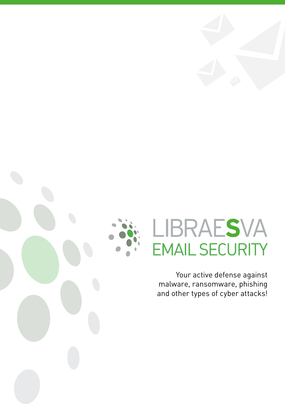



# LIBRAESVA **EMAIL SECURITY**

Your active defense against malware, ransomware, phishing and other types of cyber attacks!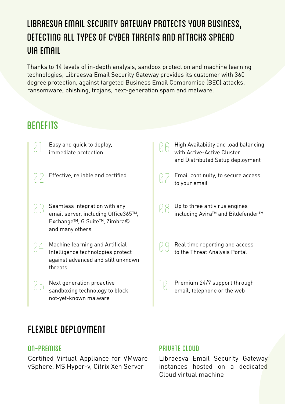## Libraesva Email Security Gateway protects your business, detecting all types of cyber threats and attacks spread via email

Thanks to 14 levels of in-depth analysis, sandbox protection and machine learning technologies, Libraesva Email Security Gateway provides its customer with 360 degree protection, against targeted Business Email Compromise (BEC) attacks, ransomware, phishing, trojans, next-generation spam and malware.

## **BENEFITS**

- 01 Easy and quick to deploy, immediate protection
- 02 Effective, reliable and certified
- 03 Seamless integration with any email server, including Office365™, Exchange™, G Suite™, Zimbra© and many others
- 04 Machine learning and Artificial Intelligence technologies protect against advanced and still unknown threats
- 05 Next generation proactive sandboxing technology to block not-yet-known malware

## Flexible deployment

#### ON-PREMISE

Certified Virtual Appliance for VMware vSphere, MS Hyper-v, Citrix Xen Server

- 06 High Availability and load balancing with Active-Active Cluster and Distributed Setup deployment
- 07 Email continuity, to secure access to your email
- 08 Up to three antivirus engines including Avira™ and Bitdefender™
- 09 Real time reporting and access to the Threat Analysis Portal
- 10 Premium 24/7 support through email, telephone or the web

#### PRIVATE CLOUD

Libraesva Email Security Gateway instances hosted on a dedicated Cloud virtual machine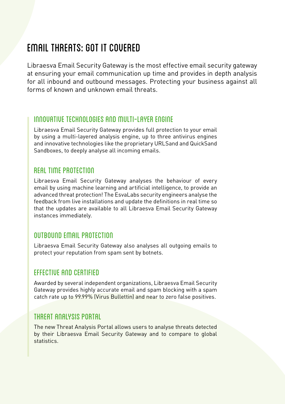## email threats: got it covered

Libraesva Email Security Gateway is the most effective email security gateway at ensuring your email communication up time and provides in depth analysis for all inbound and outbound messages. Protecting your business against all forms of known and unknown email threats.

#### Innovative Technologies and Multi-Layer Engine

Libraesva Email Security Gateway provides full protection to your email by using a multi-layered analysis engine, up to three antivirus engines and innovative technologies like the proprietary URLSand and QuickSand Sandboxes, to deeply analyse all incoming emails.

#### Real Time Protection

Libraesva Email Security Gateway analyses the behaviour of every email by using machine learning and artificial intelligence, to provide an advanced threat protection! The EsvaLabs security engineers analyse the feedback from live installations and update the definitions in real time so that the updates are available to all Libraesva Email Security Gateway instances immediately.

#### Outbound Email Protection

Libraesva Email Security Gateway also analyses all outgoing emails to protect your reputation from spam sent by botnets.

#### Effective and Certified

Awarded by several independent organizations, Libraesva Email Security Gateway provides highly accurate email and spam blocking with a spam catch rate up to 99.99% (Virus Bullettin) and near to zero false positives.

#### Threat Analysis Portal

The new Threat Analysis Portal allows users to analyse threats detected by their Libraesva Email Security Gateway and to compare to global statistics.